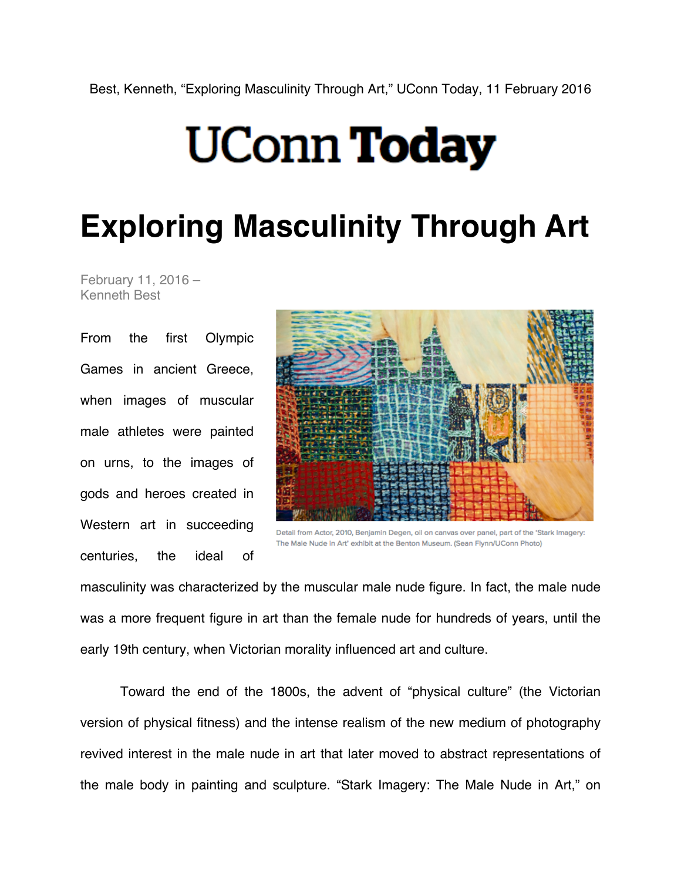## **UConn Today**

## **Exploring Masculinity Through Art**

February 11, 2016 – Kenneth Best

From the first Olympic Games in ancient Greece, when images of muscular male athletes were painted on urns, to the images of gods and heroes created in Western art in succeeding centuries, the ideal of



Detail from Actor, 2010. Benjamin Degen, oil on canyas over panel, part of the 'Stark Imagery: The Male Nude in Art' exhibit at the Benton Museum. (Sean Flynn/UConn Photo)

masculinity was characterized by the muscular male nude figure. In fact, the male nude was a more frequent figure in art than the female nude for hundreds of years, until the early 19th century, when Victorian morality influenced art and culture.

Toward the end of the 1800s, the advent of "physical culture" (the Victorian version of physical fitness) and the intense realism of the new medium of photography revived interest in the male nude in art that later moved to abstract representations of the male body in painting and sculpture. "Stark Imagery: The Male Nude in Art," on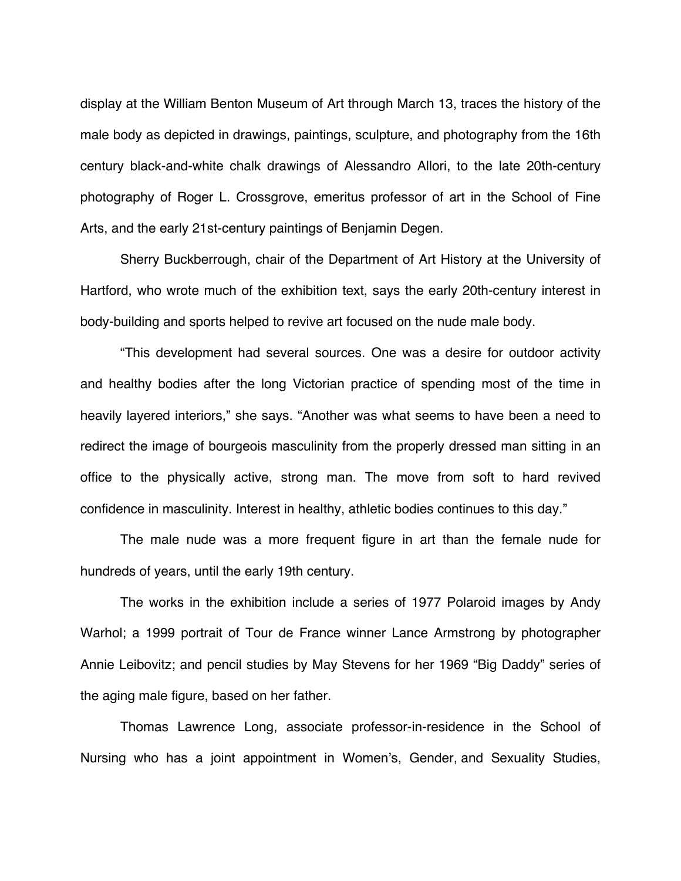display at the William Benton Museum of Art through March 13, traces the history of the male body as depicted in drawings, paintings, sculpture, and photography from the 16th century black-and-white chalk drawings of Alessandro Allori, to the late 20th-century photography of Roger L. Crossgrove, emeritus professor of art in the School of Fine Arts, and the early 21st-century paintings of Benjamin Degen.

Sherry Buckberrough, chair of the Department of Art History at the University of Hartford, who wrote much of the exhibition text, says the early 20th-century interest in body-building and sports helped to revive art focused on the nude male body.

"This development had several sources. One was a desire for outdoor activity and healthy bodies after the long Victorian practice of spending most of the time in heavily layered interiors," she says. "Another was what seems to have been a need to redirect the image of bourgeois masculinity from the properly dressed man sitting in an office to the physically active, strong man. The move from soft to hard revived confidence in masculinity. Interest in healthy, athletic bodies continues to this day."

The male nude was a more frequent figure in art than the female nude for hundreds of years, until the early 19th century.

The works in the exhibition include a series of 1977 Polaroid images by Andy Warhol; a 1999 portrait of Tour de France winner Lance Armstrong by photographer Annie Leibovitz; and pencil studies by May Stevens for her 1969 "Big Daddy" series of the aging male figure, based on her father.

Thomas Lawrence Long, associate professor-in-residence in the School of Nursing who has a joint appointment in Women's, Gender, and Sexuality Studies,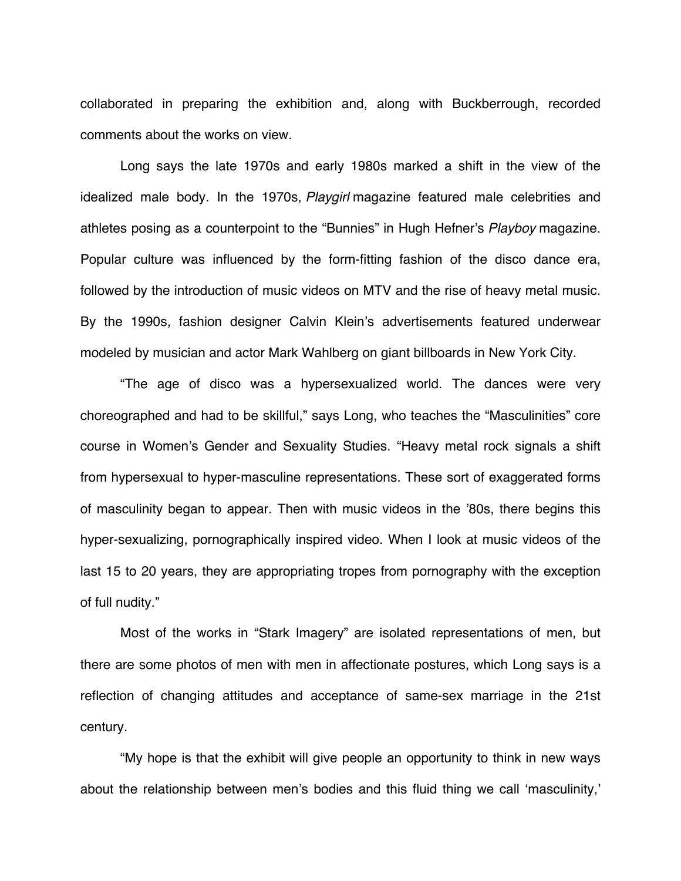collaborated in preparing the exhibition and, along with Buckberrough, recorded comments about the works on view.

Long says the late 1970s and early 1980s marked a shift in the view of the idealized male body. In the 1970s, *Playgirl* magazine featured male celebrities and athletes posing as a counterpoint to the "Bunnies" in Hugh Hefner's *Playboy* magazine. Popular culture was influenced by the form-fitting fashion of the disco dance era, followed by the introduction of music videos on MTV and the rise of heavy metal music. By the 1990s, fashion designer Calvin Klein's advertisements featured underwear modeled by musician and actor Mark Wahlberg on giant billboards in New York City.

"The age of disco was a hypersexualized world. The dances were very choreographed and had to be skillful," says Long, who teaches the "Masculinities" core course in Women's Gender and Sexuality Studies. "Heavy metal rock signals a shift from hypersexual to hyper-masculine representations. These sort of exaggerated forms of masculinity began to appear. Then with music videos in the '80s, there begins this hyper-sexualizing, pornographically inspired video. When I look at music videos of the last 15 to 20 years, they are appropriating tropes from pornography with the exception of full nudity."

Most of the works in "Stark Imagery" are isolated representations of men, but there are some photos of men with men in affectionate postures, which Long says is a reflection of changing attitudes and acceptance of same-sex marriage in the 21st century.

"My hope is that the exhibit will give people an opportunity to think in new ways about the relationship between men's bodies and this fluid thing we call ʻmasculinity,'